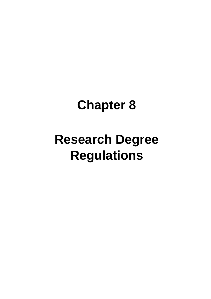# **Chapter 8**

# **Research Degree Regulations**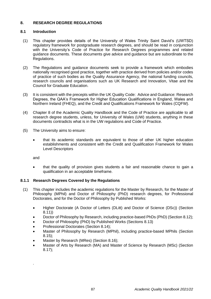# **8. RESEARCH DEGREE REGULATIONS**

# **8.1 Introduction**

- (1) This chapter provides details of the University of Wales Trinity Saint David's (UWTSD) regulatory framework for postgraduate research degrees, and should be read in conjunction with the University's Code of Practice for Research Degrees programmes and related guidance documents. These documents give advice and guidance but are subordinate to the Regulations.
- (2) The Regulations and guidance documents seek to provide a framework which embodies nationally recognised good practice, together with practice derived from policies and/or codes of practice of such bodies as the Quality Assurance Agency, the national funding councils, research councils and organisations such as UK Research and Innovation, Vitae and the Council for Graduate Education.
- (3) It is consistent with the precepts within the UK Quality Code: Advice and Guidance: Research Degrees, the QAA's Framework for Higher Education Qualifications in England, Wales and Northern Ireland (FHEQ), and the Credit and Qualifications Framework for Wales (CQFW).
- (4) Chapter 8 of the Academic Quality Handbook and the Code of Practice are applicable to all research degree students, unless, for University of Wales (UW) students, anything in these documents contradicts what is in the UW regulations and Code of Practice.
- (5) The University aims to ensure:
	- that its academic standards are equivalent to those of other UK higher education establishments and consistent with the Credit and Qualification Framework for Wales Level Descriptors

and

.

• that the quality of provision gives students a fair and reasonable chance to gain a qualification in an acceptable timeframe.

# **8.1.1 Research Degrees Covered by the Regulations**

- (1) This chapter includes the academic regulations for the Master by Research, for the Master of Philosophy (MPhil) and Doctor of Philosophy (PhD) research degrees, for Professional Doctorates, and for the Doctor of Philosophy by Published Works:
	- Higher Doctorate (A Doctor of Letters (DLitt) and Doctor of Science (DSc)) (Section 8.11))
	- Doctor of Philosophy by Research, including practice-based PhDs (PhD) (Section 8.12);
	- Doctor of Philosophy (PhD) by Published Works (Sections 8.13)
	- Professional Doctorates (Section 8.14);
	- Master of Philosophy by Research (MPhil), including practice-based MPhils (Section 8.15);
	- Master by Research (MRes) (Section 8.16);
	- Master of Arts by Research (MA) and Master of Science by Research (MSc) (Section 8.17);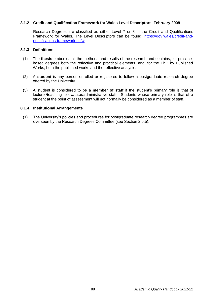## **8.1.2 Credit and Qualification Framework for Wales Level Descriptors, February 2009**

Research Degrees are classified as either Level 7 or 8 in the Credit and Qualifications Framework for Wales. The Level Descriptors can be found: [https://gov.wales/credit-and](https://gov.wales/credit-and-qualifications-framework-cqfw)[qualifications-framework-cqfw](https://gov.wales/credit-and-qualifications-framework-cqfw)

# **8.1.3 Definitions**

- (1) The **thesis** embodies all the methods and results of the research and contains, for practicebased degrees both the reflective and practical elements, and, for the PhD by Published Works, both the published works and the reflective analysis.
- (2) A **student** is any person enrolled or registered to follow a postgraduate research degree offered by the University.
- (3) A student is considered to be a **member of staff** if the student's primary role is that of lecturer/teaching fellow/tutor/administrative staff. Students whose primary role is that of a student at the point of assessment will not normally be considered as a member of staff.

#### **8.1.4 Institutional Arrangements**

(1) The University's policies and procedures for postgraduate research degree programmes are overseen by the Research Degrees Committee (see Section 2.5.5).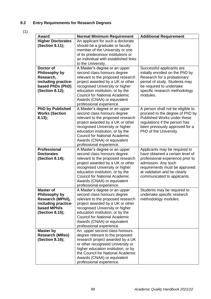# **8.2 Entry Requirements for Research Degrees**

(1)

| Award                    | <b>Normal Minimum Requirement</b>    | <b>Additional Requirement</b>     |
|--------------------------|--------------------------------------|-----------------------------------|
| <b>Higher Doctorates</b> | An applicant for such a doctorate    |                                   |
| (Section 8.11);          | should be a graduate or faculty      |                                   |
|                          | member of the University or one      |                                   |
|                          | of its predecessor institutions or   |                                   |
|                          | an individual with established links |                                   |
|                          | to the University.                   |                                   |
| Doctor of                | A Master's degree or an upper        | Successful applicants are         |
| Philosophy by            | second class honours degree          | initially enrolled on the PhD by  |
| Research,                | relevant to the proposed research    | Research for a probationary       |
| including practice-      | project awarded by a UK or other     | period of study. Students may     |
| based PhDs (PhD)         | recognised University or higher      | be required to undertake          |
| (Section 8.12);          | education institution, or by the     | specific research methodology     |
|                          | <b>Council for National Academic</b> | modules.                          |
|                          | Awards (CNAA) or equivalent          |                                   |
|                          | professional experience.             |                                   |
| <b>PhD by Published</b>  | A Master's degree or an upper        | A person shall not be eligible to |
| <b>Works (Section</b>    | second class honours degree          | proceed to the degree of PhD by   |
| 8.13);                   | relevant to the proposed research    | Published Works under these       |
|                          | project awarded by a UK or other     | regulations if the person has     |
|                          | recognised University or higher      | been previously approved for a    |
|                          | education institution, or by the     | PhD of the University.            |
|                          | <b>Council for National Academic</b> |                                   |
|                          | Awards (CNAA) or equivalent          |                                   |
|                          | professional experience.             |                                   |
| <b>Professional</b>      | A Master's degree or an upper        | Applicants may be required to     |
| <b>Doctorates</b>        | second class honours degree          | have obtained a certain level of  |
| (Section 8.14);          | relevant to the proposed research    | professional experience prior to  |
|                          | project awarded by a UK or other     | admission. Any such               |
|                          | recognised University or higher      | requirements must be approved     |
|                          | education institution, or by the     | at validation and be clearly      |
|                          | <b>Council for National Academic</b> | communicated to applicants.       |
|                          | Awards (CNAA) or equivalent          |                                   |
|                          | professional experience.             |                                   |
| <b>Master of</b>         | A Master's degree or an upper        | Students may be required to       |
| Philosophy by            | second class honours degree          | undertake specific research       |
| Research (MPhil),        | relevant to the proposed research    | methodology modules.              |
| including practice-      | project awarded by a UK or other     |                                   |
| based MPhils             | recognised University or higher      |                                   |
| (Section 8.15);          | education institution, or by the     |                                   |
|                          | <b>Council for National Academic</b> |                                   |
|                          | Awards (CNAA) or equivalent          |                                   |
|                          | professional experience.             |                                   |
| Master by                | An upper second class honours        |                                   |
| <b>Research (MRes)</b>   | degree relevant to the proposed      |                                   |
| (Section 8.16);          | research project awarded by a UK     |                                   |
|                          | or other recognised University or    |                                   |
|                          | higher education institution, or by  |                                   |
|                          | the Council for National Academic    |                                   |
|                          | Awards (CNAA) or equivalent          |                                   |
|                          | professional experience.             |                                   |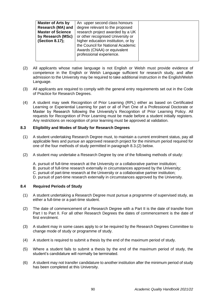|--|

- (2) All applicants whose native language is not English or Welsh must provide evidence of competence in the English or Welsh Language sufficient for research study, and after admission to the University may be required to take additional instruction in the English/Welsh Language.
- (3) All applicants are required to comply with the general entry requirements set out in the Code of Practice for Research Degrees.
- (4) A student may seek Recognition of Prior Learning (RPL) either as based on Certificated Learning or Experiential Learning for part or all of Part One of a Professional Doctorate or Master by Research following the University's Recognition of Prior Learning Policy. All requests for Recognition of Prior Learning must be made before a student initially registers. Any restrictions on recognition of prior learning must be approved at validation.

# **8.3 Eligibility and Modes of Study for Research Degrees**

- (1) A student undertaking Research Degree must, to maintain a current enrolment status, pay all applicable fees and pursue an approved research project for the minimum period required for one of the four methods of study permitted in paragraph 8.3.(2) below.
- (2) A student may undertake a Research Degree by one of the following methods of study:
	- A. pursuit of full-time research at the University or a collaborative partner institution;
	- B. pursuit of full-time research externally in circumstances approved by the University;
	- C. pursuit of part-time research at the University or a collaborative partner institution;
	- D. pursuit of part-time research externally in circumstances approved by the University.

## **8.4 Required Periods of Study**

- (1) A student undertaking a Research Degree must pursue a programme of supervised study, as either a full-time or a part-time student.
- (2) The date of commencement of a Research Degree with a Part II is the date of transfer from Part I to Part II. For all other Research Degrees the dates of commencement is the date of first enrolment.
- (3) A student may in some cases apply to or be required by the Research Degrees Committee to change mode of study or programme of study.
- (4) A student is required to submit a thesis by the end of the maximum period of study.
- (5) Where a student fails to submit a thesis by the end of the maximum period of study, the student's candidature will normally be terminated.
- (6) A student may not transfer candidature to another institution after the minimum period of study has been completed at this University.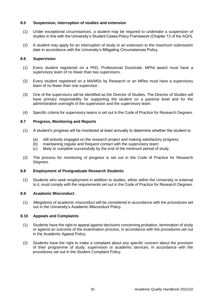## **8.5 Suspension, interruption of studies and extension**

- (1) Under exceptional circumstances, a student may be required to undertake a suspension of studies in line with the University's Student Cases Policy Framework (Chapter 12 of the AQH).
- (2) A student may apply for an interruption of study or an extension to the maximum submission date in accordance with the University's Mitigating Circumstances Policy.

## **8.6 Supervision**

- (1) Every student registered on a PhD, Professional Doctorate, MPhil award must have a supervisory team of no fewer than two supervisors.
- (2) Every student registered on a MA/MSc by Research or an MRes must have a supervisory team of no fewer than one supervisor.
- (3) One of the supervisors will be identified as the Director of Studies. The Director of Studies will have primary responsibility for supporting the student on a pastoral level and for the administrative oversight of the supervision and the supervisory team.
- (4) Specific criteria for supervisory teams is set out in the Code of Practice for Research Degrees.

## **8.7 Progress, Monitoring and Reports**

- (1) A student's progress will be monitored at least annually to determine whether the student is:
	- (a) still actively engaged on the research project and making satisfactory progress;
	- (b) maintaining regular and frequent contact with the supervisory team;
	- (c) likely to complete successfully by the end of the minimum period of study.
- (2) The process for monitoring of progress is set out in the Code of Practice for Research Degrees.

## **8.8 Employment of Postgraduate Research Students**

(1) Students who seek employment in addition to studies, either within the University or external to it, must comply with the requirements set out in the Code of Practice for Research Degrees.

## **8.9 Academic Misconduct**

(1) Allegations of academic misconduct will be considered in accordance with the procedures set out in the University's Academic Misconduct Policy.

## **8.10 Appeals and Complaints**

- (1) Students have the right to appeal against decisions concerning probation, termination of study or against an outcome of the examination process, in accordance with the procedures set out in the Academic Appeal Policy.
- (2) Students have the right to make a complaint about any specific concern about the provision of their programme of study, supervision or academic services, in accordance with the procedures set out in the Student Complaint Policy.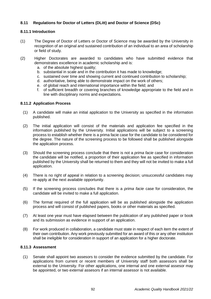# **8.11 Regulations for Doctor of Letters (DLitt) and Doctor of Science (DSc)**

# **8.11.1 Introduction**

- (1) The Degree of Doctor of Letters or Doctor of Science may be awarded by the University in recognition of an original and sustained contribution of an individual to an area of scholarship or field of study.
- (2) Higher Doctorates are awarded to candidates who have submitted evidence that demonstrates excellence in academic scholarship and is:
	- a. of the absolute highest quality;
	- b. substantial in scale and in the contribution it has made to knowledge;
	- c. sustained over time and showing current and continued contribution to scholarship;
	- d. authoritative, being able to demonstrate impact on the work of others;
	- e. of global reach and international importance within the field; and
	- f. of sufficient breadth or covering branches of knowledge appropriate to the field and in line with disciplinary norms and expectations.

## **8.11.2 Application Process**

- (1) A candidate will make an initial application to the University as specified in the information published.
- (2) The initial application will consist of the materials and application fee specified in the information published by the University. Initial applications will be subject to a screening process to establish whether there is a prima facie case for the candidate to be considered for the degree. The nature of the screening process to be followed shall be published alongside the application process.
- (3) Should the screening process conclude that there is not a *prima facie* case for consideration the candidate will be notified, a proportion of their application fee as specified in information published by the University shall be returned to them and they will not be invited to make a full application.
- (4) There is no right of appeal in relation to a screening decision; unsuccessful candidates may re-apply at the next available opportunity.
- (5) If the screening process concludes that there is a *prima facie* case for consideration, the candidate will be invited to make a full application.
- (6) The format required of the full application will be as published alongside the application process and will consist of published papers, books or other materials as specified.
- (7) At least one year must have elapsed between the publication of any published paper or book and its submission as evidence in support of an application.
- (8) For work produced in collaboration, a candidate must state in respect of each item the extent of their own contribution. Any work previously submitted for an award of this or any other institution shall be ineligible for consideration in support of an application for a higher doctorate.

## **8.11.3 Assessment**

(1) Senate shall appoint two assesors to consider the evidence submitted by the candidate. For applications from current or recent members of University staff both assessors shall be external to the University. For other applications, one internal and one external assesor may be appointed, or two external assesors if an internal assessor is not available.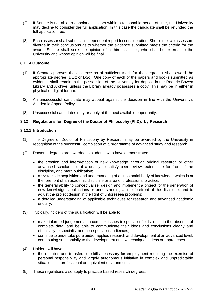- (2) If Senate is not able to appoint assessors within a reasonable period of time, the University may decline to consider the full application. In this case the candidate shall be refunded the full application fee.
- (3) Each assessor shall submit an independent report for consideration. Should the two assessors diverge in their conclusions as to whether the evidence submitted meets the criteria for the award, Senate shall seek the opinion of a third assessor, who shall be external to the University and whose opinion will be final.

## **8.11.4 Outcome**

- (1) If Senate approves the evidence as of sufficient merit for the degree, it shall award the appropriate degree (DLitt or DSc). One copy of each of the papers and books submitted as evidence shall remain in the possession of the University for deposit in the Roderic Bowen Library and Archive, unless the Library already possesses a copy. This may be in either in physical or digital format.
- (2) An unsuccessful candidate may appeal against the decision in line with the University's Academic Appeal Policy.
- (3) Unsuccessful candidates may re-apply at the next available opportunity.

## **8.12 Regulations for Degree of the Doctor of Philosophy (PhD), by Research**

## **8.12.1 Introduction**

- (1) The Degree of Doctor of Philosophy by Research may be awarded by the University in recognition of the successful completion of a programme of advanced study and research.
- (2) Doctoral degrees are awarded to students who have demonstrated:
	- the creation and interpretation of new knowledge, through original research or other advanced scholarship, of a quality to satisfy peer review, extend the forefront of the discipline, and merit publication;
	- a systematic acquisition and understanding of a substantial body of knowledge which is at the forefront of an academic discipline or area of professional practice;
	- the general ability to conceptualise, design and implement a project for the generation of new knowledge, applications or understanding at the forefront of the discipline, and to adjust the project design in the light of unforeseen problems;
	- a detailed understanding of applicable techniques for research and advanced academic enquiry.
- (3) Typically, holders of the qualification will be able to:
	- make informed judgements on complex issues in specialist fields, often in the absence of complete data, and be able to communicate their ideas and conclusions clearly and effectively to specialist and non-specialist audiences;
	- continue to undertake pure and/or applied research and development at an advanced level. contributing substantially to the development of new techniques, ideas or approaches.
- (4) Holders will have:
	- the qualities and transferable skills necessary for employment requiring the exercise of personal responsibility and largely autonomous initiative in complex and unpredictable situations, in professional or equivalent environments.
- (5) These regulations also apply to practice-based research degrees.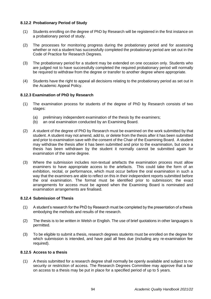# **8.12.2 Probationary Period of Study**

- (1) Students enrolling on the degree of PhD by Research will be registered in the first instance on a probationary period of study.
- (2) The processes for monitoring progress during the probationary period and for assessing whether or not a student has successfully completed the probationary period are set out in the Code of Practice for Research Degrees.
- (3) The probationary period for a student may be extended on one occasion only. Students who are judged not to have successfully completed the required probationary period will normally be required to withdraw from the degree or transfer to another degree where appropriate.
- (4) Students have the right to appeal all decisions relating to the probationary period as set out in the Academic Appeal Policy.

# **8.12.3 Examination of PhD by Research**

- (1) The examination process for students of the degree of PhD by Research consists of two stages:
	- (a) preliminary independent examination of the thesis by the examiners;
	- (b) an oral examination conducted by an Examining Board.
- (2) A student of the degree of PhD by Research must be examined on the work submitted by that student. A student may not amend, add to, or delete from the thesis after it has been submitted and prior to examination save with the consent of the Chair of the Examining Board. A student may withdraw the thesis after it has been submitted and prior to the examination, but once a thesis has been withdrawn by the student it normally cannot be submitted again for examination of the same degree.
- (3) Where the submission includes non-textual artefacts the examination process must allow examiners to have appropriate access to the artefacts. This could take the form of an exhibition, recital, or performance, which must occur before the oral examination in such a way that the examiners are able to reflect on this in their independent reports submitted before the oral examination. The format must be identified prior to submission; the exact arrangements for access must be agreed when the Examining Board is nominated and examination arrangements are finalised.

# **8.12.4 Submission of Thesis**

- (1) A student's research for the PhD by Research must be completed by the presentation of a thesis embodying the methods and results of the research.
- (2) The thesis is to be written in Welsh or English. The use of brief quotations in other languages is permitted.
- (3) To be eligible to submit a thesis, research degrees students must be enrolled on the degree for which submission is intended, and have paid all fees due (including any re-examination fee required).

# **8.12.5 Access to a thesis**

(1) A thesis submitted for a research degree shall normally be openly available and subject to no security or restriction of access. The Research Degrees Committee may approve that a bar on access to a thesis may be put in place for a specified period of up to 5 years.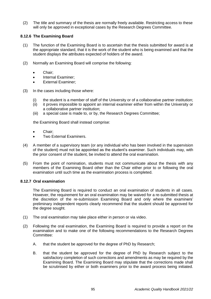(2) The title and summary of the thesis are normally freely available. Restricting access to these will only be approved in exceptional cases by the Research Degrees Committee.

## **8.12.6 The Examining Board**

- (1) The function of the Examining Board is to ascertain that the thesis submitted for award is at the appropriate standard, that it is the work of the student who is being examined and that the student displays the attributes expected of holders of the award.
- (2) Normally an Examining Board will comprise the following:
	- Chair;
	- Internal Examiner:
	- External Examiner;
- (3) In the cases including those where:
	- (i) the student is a member of staff of the University or of a collaborative partner institution;
	- (ii) it proves impossible to appoint an internal examiner either from within the University or a collaborative partner institution;
	- (iii) a special case is made to, or by, the Research Degrees Committee;

the Examining Board shall instead comprise:

- Chair:
- Two External Examiners.
- (4) A member of a supervisory team (or any individual who has been involved in the supervision of the student) must not be appointed as the student's examiner. Such individuals may, with the prior consent of the student, be invited to attend the oral examination.
- (5) From the point of nomination, students must not communicate about the thesis with any members of the Examining Board other than the Chair either prior to or following the oral examination until such time as the examination process is completed.

## **8.12.7 Oral examination**

The Examining Board is required to conduct an oral examination of students in all cases. However, the requirement for an oral examination may be waived for a re-submitted thesis at the discretion of the re-submission Examining Board and only where the examiners' preliminary independent reports clearly recommend that the student should be approved for the degree sought.

- (1) The oral examination may take place either in person or via video.
- (2) Following the oral examination, the Examining Board is required to provide a report on the examination and to make one of the following recommendations to the Research Degrees Committee:
	- A. that the student be approved for the degree of PhD by Research;
	- B. that the student be approved for the degree of PhD by Research subject to the satisfactory completion of such corrections and amendments as may be required by the Examining Board. The Examining Board may stipulate that the corrections made shall be scrutinised by either or both examiners prior to the award process being initiated.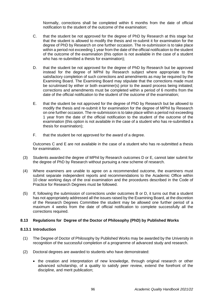Normally, corrections shall be completed within 6 months from the date of official notification to the student of the outcome of the examination;

- C. that the student be not approved for the degree of PhD by Research at this stage but that the student is allowed to modify the thesis and re-submit it for examination for the degree of PhD by Research on one further occasion. The re-submission is to take place within a period not exceeding 1 year from the date of the official notification to the student of the outcome of the examination (this option is not available in the case of a student who has re-submitted a thesis for examination);
- D. that the student be not approved for the degree of PhD by Research but be approved instead for the degree of MPhil by Research subject where appropriate to the satisfactory completion of such corrections and amendments as may be required by the Examining Board. The Examining Board may stipulate that the corrections made must be scrutinised by either or both examiner(s) prior to the award process being initiated; corrections and amendments must be completed within a period of 6 months from the date of the official notification to the student of the outcome of the examination;
- E. that the student be not approved for the degree of PhD by Research but be allowed to modify the thesis and re-submit it for examination for the degree of MPhil by Research on one further occasion. The re-submission is to take place within a period not exceeding 1 year from the date of the official notification to the student of the outcome of the examination (this option is not available in the case of a student who has re-submitted a thesis for examination);
- F. that the student be not approved for the award of a degree.

Outcomes C and E are not available in the case of a student who has re-submitted a thesis for examination.

- (3) Students awarded the degree of MPhil by Research outcomes D or E, cannot later submit for the degree of PhD by Research without pursuing a new scheme of research.
- (4) Where examiners are unable to agree on a recommended outcome, the examiners must submit separate independent reports and recommendations to the Academic Office within 10 clear working days of the oral examination and the procedures described in the Code of Practice for Research Degrees must be followed.
- (5) If, following the submission of corrections under outcomes B or D, it turns out that a student has not appropriately addressed all the issues raised by the Examining Board, at the discretion of the Research Degrees Committee the student may be allowed one further period of a maximum 4 weeks from the date of official notification to complete successfully all the corrections required.

# **8.13 Regulations for Degree of the Doctor of Philosophy (PhD) by Published Works**

## **8.13.1 Introduction**

- (1) The Degree of Doctor of Philosophy by Published Works may be awarded by the University in recognition of the successful completion of a programme of advanced study and research.
- (2) Doctoral degrees are awarded to students who have demonstrated:
	- the creation and interpretation of new knowledge, through original research or other advanced scholarship, of a quality to satisfy peer review, extend the forefront of the discipline, and merit publication;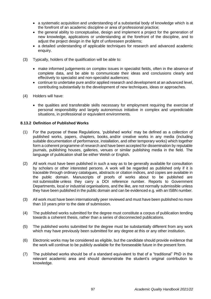- a systematic acquisition and understanding of a substantial body of knowledge which is at the forefront of an academic discipline or area of professional practice;
- the general ability to conceptualise, design and implement a project for the generation of new knowledge, applications or understanding at the forefront of the discipline, and to adjust the project design in the light of unforeseen problems;
- a detailed understanding of applicable techniques for research and advanced academic enquiry.
- (3) Typically, holders of the qualification will be able to:
	- make informed judgements on complex issues in specialist fields, often in the absence of complete data, and be able to communicate their ideas and conclusions clearly and effectively to specialist and non-specialist audiences;
	- continue to undertake pure and/or applied research and development at an advanced level, contributing substantially to the development of new techniques, ideas or approaches.
- (4) Holders will have:
	- the qualities and transferable skills necessary for employment requiring the exercise of personal responsibility and largely autonomous initiative in complex and unpredictable situations, in professional or equivalent environments.

## **8.13.2 Definition of Published Works**

- (1) For the purpose of these Regulations, 'published works' may be defined as a collection of published works, papers, chapters, books, and/or creative works in any media (including suitable documentation of performance, installation, and other temporary works) which together form a coherent programme of research and have been accepted for dissemination by reputable journals, publishing houses, galleries, venues or similar publishing media in the field. The language of publication shall be either Welsh or English.
- (2) All work must have been published in such a way as to be generally available for consultation by scholars or other interested persons. A work will be regarded as published only if it is traceable through ordinary catalogues, abstracts or citation indices, and copies are available in the public domain. Manuscripts of proofs of works about to be published are not submissible unless they carry a DOI reference number. Reports to Government Departments, local or industrial organisations, and the like, are not normally submissible unless they have been published in the public domain and can be evidenced e.g. with an ISBN number.
- (3) All work must have been internationally peer reviewed and must have been published no more than 10 years prior to the date of submission.
- (4) The published works submitted for the degree must constitute a corpus of publication tending towards a coherent thesis, rather than a series of disconnected publications.
- (5) The published works submitted for the degree must be substantially different from any work which may have previously been submitted for any degree at this or any other institution.
- (6) Electronic works may be considered as eligible, but the candidate should provide evidence that the work will continue to be publicly available for the foreseeable future in the present form.
- (7) The published works should be of a standard equivalent to that of a "traditional" PhD in the relevant academic area and should demonstrate the student's original contribution to knowledge.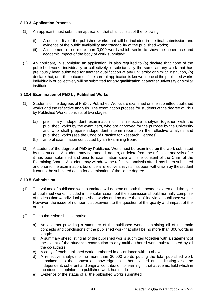# **8.13.3 Application Process**

- (1) An applicant must submit an application that shall consist of the following:
	- (i) A detailed list of the published works that will be included in the final submission and evidence of the public availability and traceability of the published works;
	- (ii) A statement of no more than 3,000 words which seeks to show the coherence and academic impact of the body of work submitted;
- (2) An applicant, in submitting an application, is also required to (a) declare that none of the published works individually or collectively is substantially the same as any work that has previously been submitted for another qualification at any university or similar institution, (b) declare that, until the outcome of the current application is known, none of the published works individually or collectively will be submitted for any qualification at another university or similar institution.

# **8.13.4 Examination of PhD by Published Works**

- (1) Students of the degrees of PhD by Published Works are examined on the submitted published works and the reflective analysis. The examination process for students of the degree of PhD by Published Works consists of two stages:
	- (a) preliminary independent examination of the reflective analysis together with the published works by the examiners, who are approved for the purpose by the University and who shall prepare independent interim reports on the reflective analysis and published works (see the Code of Practice for Research Degrees);
	- (b) an oral examination conducted by an Examining Board.
- (2) A student of the degree of PhD by Published Work must be examined on the work submitted by that student. A student may not amend, add to, or delete from the reflective analysis after it has been submitted and prior to examination save with the consent of the Chair of the Examining Board. A student may withdraw the reflective analysis after it has been submitted and prior to the examination, but once a reflective analysis has been withdrawn by the student it cannot be submitted again for examination of the same degree.

# **8.13.5 Submission**

- (1) The volume of published work submitted will depend on both the academic area and the type of published works included in the submission, but the submission should normally comprise of no less than 4 individual published works and no more than 10 individual published works. However, the issue of number is subservient to the question of the quality and impact of the output.
- (2) The submission shall comprise:
	- a) An abstract providing a summary of the published works containing all of the main concepts and conclusions of the published work that shall be no more than 300 words in length;
	- b) A summary sheet listing all of the published works submitted together with a statement of the extent of the student's contribution to any multi-authored work, substantiated by all the co-authors;
	- c) A copy of each published work numbered in accordance with b) above;
	- d) A reflective analysis of no more than 30,000 words putting the total published work submitted into the context of knowledge as it then existed and indicating also the independent, coherent and original contribution to learning in that academic field which in the student's opinion the published work has made.
	- e) Evidence of the status of all the published works submitted.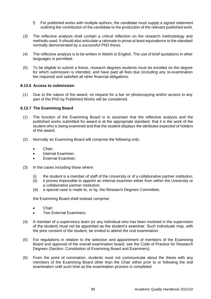- f) For published works with multiple authors, the candidate must supply a signed statement outlining the contribution of the candidate to the production of the relevant published work.
- (3) The reflective analysis shall contain a critical reflection on the research methodology and methods used. It should also articulate a rationale to prove at least equivalence to the standard normally demonstrated by a successful PhD thesis.
- (4) The reflective analysis is to be written in Welsh or English. The use of brief quotations in other languages is permitted.
- (5) To be eligible to submit a thesis, research degrees students must be enrolled on the degree for which submission is intended, and have paid all fees due (including any re-examination fee required) and satisfied all other financial obligations.

## **8.13.6 Access to submission**

(1) Due to the nature of the award, no request for a bar on photocopying and/or access to any part of the PhD by Published Works will be considered.

## **8.13.7 The Examining Board**

- (1) The function of the Examining Board is to ascertain that the reflective analysis and the published works submitted for award is at the appropriate standard, that it is the work of the student who is being examined and that the student displays the attributes expected of holders of the award.
- (2) Normally an Examining Board will comprise the following only:
	- Chair;
	- Internal Examiner:
	- **External Examiner:**
- (3) In the cases including those where:
	- (i) the student is a member of staff of the University or of a collaborative partner institution;
	- (ii) it proves impossible to appoint an internal examiner either from within the University or a collaborative partner institution;
	- (iii) a special case is made to, or by, the Research Degrees Committee;

the Examining Board shall instead comprise:

- Chair;
- Two External Examiners.
- (4) A member of a supervisory team (or any individual who has been involved in the supervision of the student) must not be appointed as the student's examiner. Such individuals may, with the prior consent of the student, be invited to attend the oral examination.
- (5) For regulations in relation to the selection and appointment of members of the Examining Board and approval of the overall examination board, see the Code of Practice for Research Degrees (Section: Constitution of Examining Board and Examiners).
- (6) From the point of nomination, students must not communicate about the thesis with any members of the Examining Board other than the Chair either prior to or following the oral examination until such time as the examination process is completed.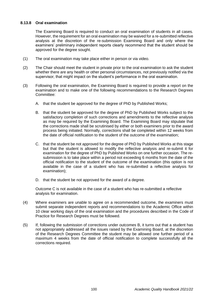# **8.13.8 Oral examination**

The Examining Board is required to conduct an oral examination of students in all cases. However, the requirement for an oral examination may be waived for a re-submitted reflective analysis at the discretion of the re-submission Examining Board and only where the examiners' preliminary independent reports clearly recommend that the student should be approved for the degree sought.

- (1) The oral examination may take place either in person or via video.
- (2) The Chair should meet the student in private prior to the oral examination to ask the student whether there are any health or other personal circumstances, not previously notified via the supervisor, that might impact on the student's performance in the oral examination.
- (3) Following the oral examination, the Examining Board is required to provide a report on the examination and to make one of the following recommendations to the Research Degrees Committee:
	- A. that the student be approved for the degree of PhD by Published Works;
	- B. that the student be approved for the degree of PhD by Published Works subject to the satisfactory completion of such corrections and amendments to the reflective analysis as may be required by the Examining Board. The Examining Board may stipulate that the corrections made shall be scrutinised by either or both examiners prior to the award process being initiated. Normally, corrections shall be completed within 12 weeks from the date of official notification to the student of the outcome of the examination;
	- C. that the student be not approved for the degree of PhD by Published Works at this stage but that the student is allowed to modify the reflective analysis and re-submit it for examination for the degree of PhD by Published Works on one further occasion. The resubmission is to take place within a period not exceeding 6 months from the date of the official notification to the student of the outcome of the examination (this option is not available in the case of a student who has re-submitted a reflective analysis for examination);
	- D. that the student be not approved for the award of a degree.

Outcome C is not available in the case of a student who has re-submitted a reflective analysis for examination.

- (4) Where examiners are unable to agree on a recommended outcome, the examiners must submit separate independent reports and recommendations to the Academic Office within 10 clear working days of the oral examination and the procedures described in the Code of Practice for Research Degrees must be followed.
- (5) If, following the submission of corrections under outcomes B, it turns out that a student has not appropriately addressed all the issues raised by the Examining Board, at the discretion of the Research Degrees Committee the student may be allowed one further period of a maximum 4 weeks from the date of official notification to complete successfully all the corrections required.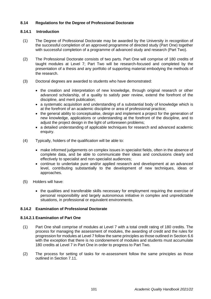# **8.14 Regulations for the Degree of Professional Doctorate**

# **8.14.1 Introduction**

- (1) The Degree of Professional Doctorate may be awarded by the University in recognition of the successful completion of an approved programme of directed study (Part One) together with successful completion of a programme of advanced study and research (Part Two).
- (2) The Professional Doctorate consists of two parts. Part One will comprise of 180 credits of taught modules at Level 7; Part Two will be research-focused and completed by the presentation of a thesis and any portfolio of supporting material embodying the methods of the research.
- (3) Doctoral degrees are awarded to students who have demonstrated:
	- the creation and interpretation of new knowledge, through original research or other advanced scholarship, of a quality to satisfy peer review, extend the forefront of the discipline, and merit publication;
	- a systematic acquisition and understanding of a substantial body of knowledge which is at the forefront of an academic discipline or area of professional practice;
	- the general ability to conceptualise, design and implement a project for the generation of new knowledge, applications or understanding at the forefront of the discipline, and to adjust the project design in the light of unforeseen problems;
	- a detailed understanding of applicable techniques for research and advanced academic enquiry.
- (4) Typically, holders of the qualification will be able to:
	- make informed judgements on complex issues in specialist fields, often in the absence of complete data, and be able to communicate their ideas and conclusions clearly and effectively to specialist and non-specialist audiences;
	- continue to undertake pure and/or applied research and development at an advanced level, contributing substantially to the development of new techniques, ideas or approaches.
- (5) Holders will have:
	- the qualities and transferable skills necessary for employment requiring the exercise of personal responsibility and largely autonomous initiative in complex and unpredictable situations, in professional or equivalent environments.

# **8.14.2 Examination of Professional Doctorate**

# **8.14.2.1 Examination of Part One**

- (1) Part One shall comprise of modules at Level 7 with a total credit rating of 180 credits. The process for managing the assessment of modules, the awarding of credit and the rules for progression for modules at Level 7 follow the same principles as those outlined in Section 6.6 with the exception that there is no condonement of modules and students must accumulate 180 credits at Level 7 in Part One in order to progress to Part Two.
- (2) The process for setting of tasks for re-assessment follow the same principles as those outlined in Section 7.11.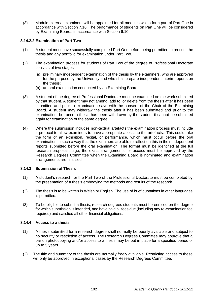(3) Module external examiners will be appointed for all modules which form part of Part One in accordance with Section 7.16. The performance of students on Part One will be considered by Examining Boards in accordance with Section 6.10.

## **8.14.2.2 Examination of Part Two**

- (1) A student must have successfully completed Part One before being permitted to present the thesis and any portfolio for examination under Part Two.
- (2) The examination process for students of Part Two of the degree of Professional Doctorate consists of two stages:
	- (a) preliminary independent examination of the thesis by the examiners, who are approved for the purpose by the University and who shall prepare independent interim reports on the thesis;
	- (b) an oral examination conducted by an Examining Board.
- (3) A student of the degree of Professional Doctorate must be examined on the work submitted by that student. A student may not amend, add to, or delete from the thesis after it has been submitted and prior to examination save with the consent of the Chair of the Examining Board. A student may withdraw the thesis after it has been submitted and prior to the examination, but once a thesis has been withdrawn by the student it cannot be submitted again for examination of the same degree.
- (4) Where the submission includes non-textual artefacts the examination process must include a protocol to allow examiners to have appropriate access to the artefacts. This could take the form of an exhibition, recital, or performance, which must occur before the oral examination in such a way that the examiners are able to reflect on this in their independent reports submitted before the oral examination. The format must be identified at the full research proposal stage; the exact arrangements for access must be approved by the Research Degrees Committee when the Examining Board is nominated and examination arrangements are finalised.

## **8.14.3 Submission of Thesis**

- (1) A student's research for the Part Two of the Professional Doctorate must be completed by the presentation of a thesis embodying the methods and results of the research.
- (2) The thesis is to be written in Welsh or English. The use of brief quotations in other languages is permitted.
- (3) To be eligible to submit a thesis, research degrees students must be enrolled on the degree for which submission is intended, and have paid all fees due (including any re-examination fee required) and satisfied all other financial obligations.

## **8.14.4 Access to a thesis**

- (1) A thesis submitted for a research degree shall normally be openly available and subject to no security or restriction of access. The Research Degrees Committee may approve that a bar on photocopying and/or access to a thesis may be put in place for a specified period of up to 5 years.
- (2) The title and summary of the thesis are normally freely available. Restricting access to these will only be approved in exceptional cases by the Research Degrees Committee.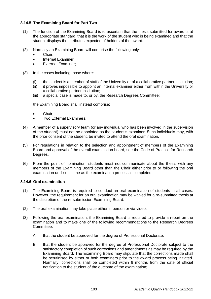# **8.14.5 The Examining Board for Part Two**

- (1) The function of the Examining Board is to ascertain that the thesis submitted for award is at the appropriate standard, that it is the work of the student who is being examined and that the student displays the attributes expected of holders of the award.
- (2) Normally an Examining Board will comprise the following only:
	- Chair;
	- Internal Examiner;
	- External Examiner;
- (3) In the cases including those where:
	- (i) the student is a member of staff of the University or of a collaborative partner institution;
	- (ii) it proves impossible to appoint an internal examiner either from within the University or a collaborative partner institution;
	- (iii) a special case is made to, or by, the Research Degrees Committee;

the Examining Board shall instead comprise:

- Chair;
- Two External Examiners.
- (4) A member of a supervisory team (or any individual who has been involved in the supervision of the student) must not be appointed as the student's examiner. Such individuals may, with the prior consent of the student, be invited to attend the oral examination.
- (5) For regulations in relation to the selection and appointment of members of the Examining Board and approval of the overall examination board, see the Code of Practice for Research Degrees.
- (6) From the point of nomination, students must not communicate about the thesis with any members of the Examining Board other than the Chair either prior to or following the oral examination until such time as the examination process is completed.

## **8.14.6 Oral examination**

- (1) The Examining Board is required to conduct an oral examination of students in all cases. However, the requirement for an oral examination may be waived for a re-submitted thesis at the discretion of the re-submission Examining Board.
- (2) The oral examination may take place either in person or via video.
- (3) Following the oral examination, the Examining Board is required to provide a report on the examination and to make one of the following recommendations to the Research Degrees Committee:
	- A. that the student be approved for the degree of Professional Doctorate;
	- B. that the student be approved for the degree of Professional Doctorate subject to the satisfactory completion of such corrections and amendments as may be required by the Examining Board. The Examining Board may stipulate that the corrections made shall be scrutinised by either or both examiners prior to the award process being initiated. Normally, corrections shall be completed within 6 months from the date of official notification to the student of the outcome of the examination;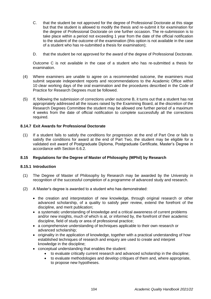- C. that the student be not approved for the degree of Professional Doctorate at this stage but that the student is allowed to modify the thesis and re-submit it for examination for the degree of Professional Doctorate on one further occasion. The re-submission is to take place within a period not exceeding 1 year from the date of the official notification to the student of the outcome of the examination (this option is not available in the case of a student who has re-submitted a thesis for examination);
- D. that the student be not approved for the award of the degree of Professional Doctorate.

Outcome C is not available in the case of a student who has re-submitted a thesis for examination.

- (4) Where examiners are unable to agree on a recommended outcome, the examiners must submit separate independent reports and recommendations to the Academic Office within 10 clear working days of the oral examination and the procedures described in the Code of Practice for Research Degrees must be followed.
- (5) If, following the submission of corrections under outcome B, it turns out that a student has not appropriately addressed all the issues raised by the Examining Board, at the discretion of the Research Degrees Committee the student may be allowed one further period of a maximum 4 weeks from the date of official notification to complete successfully all the corrections required.

# **8.14.7 Exit Awards for Professional Doctorate**

(1) If a student fails to satisfy the conditions for progression at the end of Part One or fails to satisfy the conditions for award at the end of Part Two, the student may be eligible for a validated exit award of Postgraduate Diploma, Postgraduate Certificate, Master's Degree in accordance with Section 6.6.2.

## **8.15 Regulations for the Degree of Master of Philosophy (MPhil) by Research**

## **8.15.1 Introduction**

- (1) The Degree of Master of Philosophy by Research may be awarded by the University in recognition of the successful completion of a programme of advanced study and research.
- (2) A Master's degree is awarded to a student who has demonstrated:
	- the creation and interpretation of new knowledge, through original research or other advanced scholarship, of a quality to satisfy peer review, extend the forefront of the discipline, and merit publication;
	- a systematic understanding of knowledge and a critical awareness of current problems and/or new insights, much of which is at, or informed by, the forefront of their academic discipline, field of study or area of professional practice;
	- a comprehensive understanding of techniques applicable to their own research or advanced scholarship;
	- originality in the application of knowledge, together with a practical understanding of how established techniques of research and enquiry are used to create and interpret knowledge in the discipline;
	- conceptual understanding that enables the student:
		- to evaluate critically current research and advanced scholarship in the discipline;
		- to evaluate methodologies and develop critiques of them and, where appropriate, to propose new hypotheses.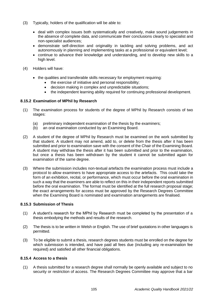- (3) Typically, holders of the qualification will be able to:
	- deal with complex issues both systematically and creatively, make sound judgements in the absence of complete data, and communicate their conclusions clearly to specialist and non-specialist audiences;
	- demonstrate self-direction and originality in tackling and solving problems, and act autonomously in planning and implementing tasks at a professional or equivalent level;
	- continue to advance their knowledge and understanding, and to develop new skills to a high level.
- (4) Holders will have:
	- the qualities and transferable skills necessary for employment requiring:
		- the exercise of initiative and personal responsibility;
		- decision making in complex and unpredictable situations;
		- the independent learning ability required for continuing professional development.

# **8.15.2 Examination of MPhil by Research**

- (1) The examination process for students of the degree of MPhil by Research consists of two stages:
	- (a) preliminary independent examination of the thesis by the examiners;
	- (b) an oral examination conducted by an Examining Board.
- (2) A student of the degree of MPhil by Research must be examined on the work submitted by that student. A student may not amend, add to, or delete from the thesis after it has been submitted and prior to examination save with the consent of the Chair of the Examining Board. A student may withdraw the thesis after it has been submitted and prior to the examination, but once a thesis has been withdrawn by the student it cannot be submitted again for examination of the same degree.
- (3) Where the submission includes non-textual artefacts the examination process must include a protocol to allow examiners to have appropriate access to the artefacts. This could take the form of an exhibition, recital, or performance, which must occur before the oral examination in such a way that the examiners are able to reflect on this in their independent reports submitted before the oral examination. The format must be identified at the full research proposal stage; the exact arrangements for access must be approved by the Research Degrees Committee when the Examining Board is nominated and examination arrangements are finalised.

# **8.15.3 Submission of Thesis**

- (1) A student's research for the MPhil by Research must be completed by the presentation of a thesis embodying the methods and results of the research.
- (2) The thesis is to be written in Welsh or English. The use of brief quotations in other languages is permitted.
- (3) To be eligible to submit a thesis, research degrees students must be enrolled on the degree for which submission is intended, and have paid all fees due (including any re-examination fee required) and satisfied all other financial obligations.

# **8.15.4 Access to a thesis**

(1) A thesis submitted for a research degree shall normally be openly available and subject to no security or restriction of access. The Research Degrees Committee may approve that a bar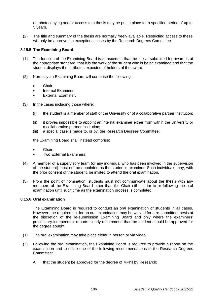on photocopying and/or access to a thesis may be put in place for a specified period of up to 5 years.

(2) The title and summary of the thesis are normally freely available. Restricting access to these will only be approved in exceptional cases by the Research Degrees Committee.

## **8.15.5 The Examining Board**

- (1) The function of the Examining Board is to ascertain that the thesis submitted for award is at the appropriate standard, that it is the work of the student who is being examined and that the student displays the attributes expected of holders of the award.
- (2) Normally an Examining Board will comprise the following:
	- Chair;
	- Internal Examiner;
	- **External Examiner.**
- (3) In the cases including those where:
	- (i) the student is a member of staff of the University or of a collaborative partner institution;
	- (ii) it proves impossible to appoint an internal examiner either from within the University or a collaborative partner institution;
	- (iii) a special case is made to, or by, the Research Degrees Committee;

the Examining Board shall instead comprise:

- Chair;
- Two External Examiners.
- (4) A member of a supervisory team (or any individual who has been involved in the supervision of the student) must not be appointed as the student's examiner. Such individuals may, with the prior consent of the student, be invited to attend the oral examination.
- (5) From the point of nomination, students must not communicate about the thesis with any members of the Examining Board other than the Chair either prior to or following the oral examination until such time as the examination process is completed

## **8.15.6 Oral examination**

The Examining Board is required to conduct an oral examination of students in all cases. However, the requirement for an oral examination may be waived for a re-submitted thesis at the discretion of the re-submission Examining Board and only where the examiners' preliminary independent reports clearly recommend that the student should be approved for the degree sought.

- (1) The oral examination may take place either in person or via video.
- (2) Following the oral examination, the Examining Board is required to provide a report on the examination and to make one of the following recommendations to the Research Degrees Committee:
	- A. that the student be approved for the degree of MPhil by Research;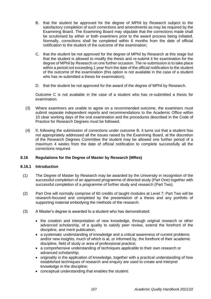- B. that the student be approved for the degree of MPhil by Research subject to the satisfactory completion of such corrections and amendments as may be required by the Examining Board. The Examining Board may stipulate that the corrections made shall be scrutinised by either or both examiners prior to the award process being initiated. Normally, corrections shall be completed within 6 months from the date of official notification to the student of the outcome of the examination;
- C. that the student be not approved for the degree of MPhil by Research at this stage but that the student is allowed to modify the thesis and re-submit it for examination for the degree of MPhil by Research on one further occasion. The re-submission is to take place within a period not exceeding 1 year from the date of the official notification to the student of the outcome of the examination (this option is not available in the case of a student who has re-submitted a thesis for examination);
- D. that the student be not approved for the award of the degree of MPhil by Research.

Outcome C is not available in the case of a student who has re-submitted a thesis for examination.

- (3) Where examiners are unable to agree on a recommended outcome, the examiners must submit separate independent reports and recommendations to the Academic Office within 10 clear working days of the oral examination and the procedures described in the Code of Practice for Research Degrees must be followed.
- (4) If, following the submission of corrections under outcome B, it turns out that a student has not appropriately addressed all the issues raised by the Examining Board, at the discretion of the Research Degrees Committee the student may be allowed one further period of a maximum 4 weeks from the date of official notification to complete successfully all the corrections required.

## **8.16 Regulations for the Degree of Master by Research (MRes)**

## **8.16.1 Introduction**

- (1) The Degree of Master by Research may be awarded by the University in recognition of the successful completion of an approved programme of directed study (Part One) together with successful completion of a programme of further study and research (Part Two).
- (2) Part One will normally comprise of 60 credits of taught modules at Level 7; Part Two will be research-focused and completed by the presentation of a thesis and any portfolio of supporting material embodying the methods of the research.
- (3) A Master's degree is awarded to a student who has demonstrated:
	- the creation and interpretation of new knowledge, through original research or other advanced scholarship, of a quality to satisfy peer review, extend the forefront of the discipline, and merit publication;
	- a systematic understanding of knowledge and a critical awareness of current problems and/or new insights, much of which is at, or informed by, the forefront of their academic discipline, field of study or area of professional practice;
	- a comprehensive understanding of techniques applicable to their own research or advanced scholarship;
	- originality in the application of knowledge, together with a practical understanding of how established techniques of research and enquiry are used to create and interpret knowledge in the discipline;
	- conceptual understanding that enables the student: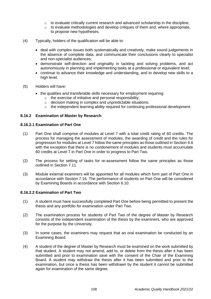- $\circ$  to evaluate critically current research and advanced scholarship in the discipline:
- o to evaluate methodologies and develop critiques of them and, where appropriate, to propose new hypotheses.
- (4) Typically, holders of the qualification will be able to:
	- deal with complex issues both systematically and creatively, make sound judgements in the absence of complete data, and communicate their conclusions clearly to specialist and non-specialist audiences;
	- demonstrate self-direction and originality in tackling and solving problems, and act autonomously in planning and implementing tasks at a professional or equivalent level;
	- continue to advance their knowledge and understanding, and to develop new skills to a high level.
- (5) Holders will have:
	- the qualities and transferable skills necessary for employment requiring:
		- o the exercise of initiative and personal responsibility;
			- decision making in complex and unpredictable situations;
		- o the independent learning ability required for continuing professional development.

## **8.16.2 Examination of Master by Research**

## **8.16.2.1 Examination of Part One**

- (1) Part One shall comprise of modules at Level 7 with a total credit rating of 60 credits. The process for managing the assessment of modules, the awarding of credit and the rules for progression for modules at Level 7 follow the same principles as those outlined in Section 6.6 with the exception that there is no condonement of modules and students must accumulate 60 credits at Level 7 in Part One in order to progress to Part Two.
- (2) The process for setting of tasks for re-assessment follow the same principles as those outlined in Section 7.11.
- (3) Module external examiners will be appointed for all modules which form part of Part One in accordance with Section 7.16. The performance of students on Part One will be considered by Examining Boards in accordance with Section 6.10.

# **8.16.2.2 Examination of Part Two**

- (1) A student must have successfully completed Part One before being permitted to present the thesis and any portfolio for examination under Part Two.
- (2) The examination process for students of Part Two of the degree of Master by Research consists of the independent examination of the thesis by the examiners, who are approved for the purpose by the University.
- (3) In some cases, the examiners may request that an oral examination be conducted by an Examining Board.
- (4) A student of the degree of Master by Research must be examined on the work submitted by that student. A student may not amend, add to, or delete from the thesis after it has been submitted and prior to examination save with the consent of the Chair of the Examining Board. A student may withdraw the thesis after it has been submitted and prior to the examination, but once a thesis has been withdrawn by the student it cannot be submitted again for examination of the same degree.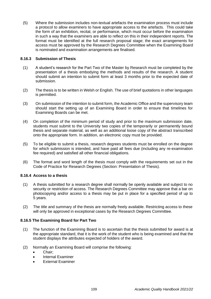(5) Where the submission includes non-textual artefacts the examination process must include a protocol to allow examiners to have appropriate access to the artefacts. This could take the form of an exhibition, recital, or performance, which must occur before the examination in such a way that the examiners are able to reflect on this in their independent reports. The format must be identified at the full research proposal stage; the exact arrangements for access must be approved by the Research Degrees Committee when the Examining Board is nominated and examination arrangements are finalised.

## **8.16.3 Submission of Thesis**

- (1) A student's research for the Part Two of the Master by Research must be completed by the presentation of a thesis embodying the methods and results of the research. A student should submit an intention to submit form at least 3 months prior to the expected date of submission.
- (2) The thesis is to be written in Welsh or English. The use of brief quotations in other languages is permitted.
- (3) On submission of the intention to submit form, the Academic Office and the supervisory team should start the setting up of an Examining Board in order to ensure that timelines for Examining Boards can be met.
- (4) On completion of the minimum period of study and prior to the maximum submission date, students must submit to the University two copies of the temporarily or permanently bound thesis and separate material, as well as an additional loose copy of the abstract transcribed onto the appropriate form. In addition, an electronic copy must be provided.
- (5) To be eligible to submit a thesis, research degrees students must be enrolled on the degree for which submission is intended, and have paid all fees due (including any re-examination fee required) and satisfied all other financial obligations.
- (6) The format and word length of the thesis must comply with the requirements set out in the Code of Practice for Research Degrees (Section: Presentation of Thesis).

## **8.16.4 Access to a thesis**

- (1) A thesis submitted for a research degree shall normally be openly available and subject to no security or restriction of access. The Research Degrees Committee may approve that a bar on photocopying and/or access to a thesis may be put in place for a specified period of up to 5 years.
- (2) The title and summary of the thesis are normally freely available. Restricting access to these will only be approved in exceptional cases by the Research Degrees Committee.

# **8.16.5 The Examining Board for Part Two**

- (1) The function of the Examining Board is to ascertain that the thesis submitted for award is at the appropriate standard, that it is the work of the student who is being examined and that the student displays the attributes expected of holders of the award.
- (2) Normally an Examining Board will comprise the following:
	- Chair:
	- Internal Examiner
	- **External Examiner**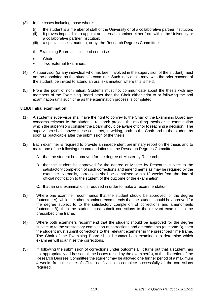- (3) In the cases including those where:
	- (i) the student is a member of staff of the University or of a collaborative partner institution;
	- (ii) it proves impossible to appoint an internal examiner either from within the University or a collaborative partner institution;
	- (iii) a special case is made to, or by, the Research Degrees Committee;

the Examining Board shall instead comprise:

- Chair;
- Two External Examiners.
- (4) A supervisor (or any individual who has been involved in the supervision of the student) must not be appointed as the student's examiner. Such individuals may, with the prior consent of the student, be invited to attend an oral examination where this is held.
- (5) From the point of nomination, Students must not communicate about the thesis with any members of the Examining Board other than the Chair either prior to or following the oral examination until such time as the examination process is completed.

## **8.16.6 Initial examination**

- (1) A student's supervisor shall have the right to convey to the Chair of the Examining Board any concerns relevant to the student's research project, the resulting thesis or its examination which the supervisors consider the Board should be aware of prior to reaching a decision. The supervisors shall convey these concerns, in writing, both to the Chair and to the student as soon as practicable after the submission of the thesis.
- (2) Each examiner is required to provide an independent preliminary report on the thesis and to make one of the following recommendations to the Research Degrees Committee:
	- A. that the student be approved for the degree of Master by Research;
	- B. that the student be approved for the degree of Master by Research subject to the satisfactory completion of such corrections and amendments as may be required by the examiner. Normally, corrections shall be completed within 12 weeks from the date of official notification to the student of the outcome of the examination;
	- C. that an oral examination is required in order to make a recommendation.
- (3) Where one examiner recommends that the student should be approved for the degree (outcome A), while the other examiner recommends that the student should be approved for the degree subject to to the satisfactory completion of corrections and amendments (outcome B), then the student must submit corrections to the relevant examiner in the prescribed time frame.
- (4) Where both examiners recommend that the student should be approved for the degree subject to to the satisfactory completion of corrections and amendments (outcome B), then the student must submit corrections to the relevant examiner in the prescribed time frame. The Chair of the Examining Board should contact both examiners to determine which examiner will scrutinise the corrections.
- (5) If, following the submission of corrections under outcome B, it turns out that a student has not appropriately addressed all the issues raised by the examiner(s), at the discretion of the Research Degrees Committee the student may be allowed one further period of a maximum 4 weeks from the date of official notification to complete successfully all the corrections required.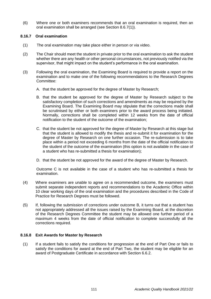(6) Where one or both examiners recommends that an oral examination is required, then an oral examination shall be arranged (see Section 8.6.7(1)).

## **8.16.7 Oral examination**

- (1) The oral examination may take place either in person or via video.
- (2) The Chair should meet the student in private prior to the oral examination to ask the student whether there are any health or other personal circumstances, not previously notified via the supervisor, that might impact on the student's performance in the oral examination.
- (3) Following the oral examination, the Examining Board is required to provide a report on the examination and to make one of the following recommendations to the Research Degrees Committee:
	- A. that the student be approved for the degree of Master by Research;
	- B. that the student be approved for the degree of Master by Research subject to the satisfactory completion of such corrections and amendments as may be required by the Examining Board. The Examining Board may stipulate that the corrections made shall be scrutinised by either or both examiners prior to the award process being initiated. Normally, corrections shall be completed within 12 weeks from the date of official notification to the student of the outcome of the examination;
	- C. that the student be not approved for the degree of Master by Research at this stage but that the student is allowed to modify the thesis and re-submit it for examination for the degree of Master by Research on one further occasion. The re-submission is to take place within a period not exceeding 6 months from the date of the official notification to the student of the outcome of the examination (this option is not available in the case of a student who has re-submitted a thesis for examination);
	- D. that the student be not approved for the award of the degree of Master by Research.

Outcome C is not available in the case of a student who has re-submitted a thesis for examination.

- (4) Where examiners are unable to agree on a recommended outcome, the examiners must submit separate independent reports and recommendations to the Academic Office within 10 clear working days of the oral examination and the procedures described in the Code of Practice for Research Degrees must be followed.
- (5) If, following the submission of corrections under outcome B, it turns out that a student has not appropriately addressed all the issues raised by the Examining Board, at the discretion of the Research Degrees Committee the student may be allowed one further period of a maximum 4 weeks from the date of official notification to complete successfully all the corrections required.

# **8.16.8 Exit Awards for Master by Research**

(1) If a student fails to satisfy the conditions for progression at the end of Part One or fails to satisfy the conditions for award at the end of Part Two, the student may be eligible for an award of Postgraduate Certificate in accordance with Section 6.6.2.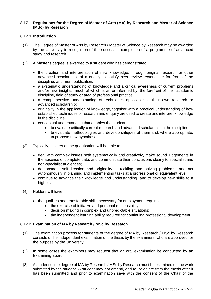## **8.17 Regulations for the Degree of Master of Arts (MA) by Research and Master of Science (MSc) by Research**

# **8.17.1 Introduction**

- (1) The Degree of Master of Arts by Research / Master of Science by Research may be awarded by the University in recognition of the successful completion of a programme of advanced study and research.
- (2) A Master's degree is awarded to a student who has demonstrated:
	- the creation and interpretation of new knowledge, through original research or other advanced scholarship, of a quality to satisfy peer review, extend the forefront of the discipline, and merit publication;
	- a systematic understanding of knowledge and a critical awareness of current problems and/or new insights, much of which is at, or informed by, the forefront of their academic discipline, field of study or area of professional practice;
	- a comprehensive understanding of techniques applicable to their own research or advanced scholarship;
	- originality in the application of knowledge, together with a practical understanding of how established techniques of research and enquiry are used to create and interpret knowledge in the discipline;
	- conceptual understanding that enables the student:
		- to evaluate critically current research and advanced scholarship in the discipline;
		- to evaluate methodologies and develop critiques of them and, where appropriate, to propose new hypotheses.
- (3) Typically, holders of the qualification will be able to:
	- deal with complex issues both systematically and creatively, make sound judgements in the absence of complete data, and communicate their conclusions clearly to specialist and non-specialist audiences;
	- demonstrate self-direction and originality in tackling and solving problems, and act autonomously in planning and implementing tasks at a professional or equivalent level;
	- continue to advance their knowledge and understanding, and to develop new skills to a high level.
- (4) Holders will have:
	- the qualities and transferable skills necessary for employment requiring:
		- the exercise of initiative and personal responsibility;
		- decision making in complex and unpredictable situations;
		- the independent learning ability required for continuing professional development.

# **8.17.2 Examination of MA by Research / MSc by Research**

- (1) The examination process for students of the degree of MA by Research / MSc by Research consists of the independent examination of the thesis by the examiners, who are approved for the purpose by the University.
- (2) In some cases the examiners may request that an oral examination be conducted by an Examining Board.
- (3) A student of the degree of MA by Research / MSc by Research must be examined on the work submitted by the student. A student may not amend, add to, or delete from the thesis after it has been submitted and prior to examination save with the consent of the Chair of the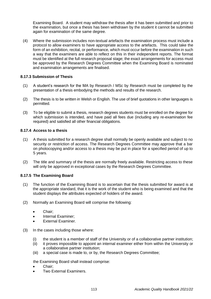Examining Board. A student may withdraw the thesis after it has been submitted and prior to the examination, but once a thesis has been withdrawn by the student it cannot be submitted again for examination of the same degree.

(4) Where the submission includes non-textual artefacts the examination process must include a protocol to allow examiners to have appropriate access to the artefacts. This could take the form of an exhibition, recital, or performance, which must occur before the examination in such a way that the examiners are able to reflect on this in their independent reports. The format must be identified at the full research proposal stage; the exact arrangements for access must be approved by the Research Degrees Committee when the Examining Board is nominated and examination arrangements are finalised.

# **8.17.3 Submission of Thesis**

- (1) A student's research for the MA by Research / MSc by Research must be completed by the presentation of a thesis embodying the methods and results of the research.
- (2) The thesis is to be written in Welsh or English. The use of brief quotations in other languages is permitted.
- (3) To be eligible to submit a thesis, research degrees students must be enrolled on the degree for which submission is intended, and have paid all fees due (including any re-examination fee required) and satisfied all other financial obligations.

# **8.17.4 Access to a thesis**

- (1) A thesis submitted for a research degree shall normally be openly available and subject to no security or restriction of access. The Research Degrees Committee may approve that a bar on photocopying and/or access to a thesis may be put in place for a specified period of up to 5 years.
- (2) The title and summary of the thesis are normally freely available. Restricting access to these will only be approved in exceptional cases by the Research Degrees Committee.

## **8.17.5 The Examining Board**

- (1) The function of the Examining Board is to ascertain that the thesis submitted for award is at the appropriate standard, that it is the work of the student who is being examined and that the student displays the attributes expected of holders of the award.
- (2) Normally an Examining Board will comprise the following:
	- Chair;
	- Internal Examiner;
	- External Examiner.
- (3) In the cases including those where:
	- (i) the student is a member of staff of the University or of a collaborative partner institution;
	- (ii) it proves impossible to appoint an internal examiner either from within the University or a collaborative partner institution;
	- (iii) a special case is made to, or by, the Research Degrees Committee;

the Examining Board shall instead comprise:

- Chair:
- Two External Examiners.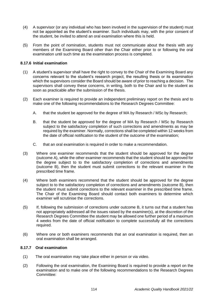- (4) A supervisor (or any individual who has been involved in the supervision of the student) must not be appointed as the student's examiner. Such individuals may, with the prior consent of the student, be invited to attend an oral examination where this is held.
- (5) From the point of nomination, students must not communicate about the thesis with any members of the Examining Board other than the Chair either prior to or following the oral examination until such time as the examination process is completed.

## **8.17.6 Initial examination**

- (1) A student's supervisor shall have the right to convey to the Chair of the Examining Board any concerns relevant to the student's research project, the resulting thesis or its examination which the supervisors consider the Board should be aware of prior to reaching a decision. The supervisors shall convey these concerns, in writing, both to the Chair and to the student as soon as practicable after the submission of the thesis.
- (2) Each examiner is required to provide an independent preliminary report on the thesis and to make one of the following recommendations to the Research Degrees Committee:
	- A. that the student be approved for the degree of MA by Research / MSc by Research;
	- B. that the student be approved for the degree of MA by Research / MSc by Research subject to the satisfactory completion of such corrections and amendments as may be required by the examiner. Normally, corrections shall be completed within 12 weeks from the date of official notification to the student of the outcome of the examination;
	- C. that an oral examination is required in order to make a recommendation.
- (3) Where one examiner recommends that the student should be approved for the degree (outcome A), while the other examiner recommends that the student should be approved for the degree subject to to the satisfactory completion of corrections and amendments (outcome B), then the student must submit corrections to the relevant examiner in the prescribed time frame.
- (4) Where both examiners recommend that the student should be approved for the degree subject to to the satisfactory completion of corrections and amendments (outcome B), then the student must submit corrections to the relevant examiner in the prescribed time frame. The Chair of the Examining Board should contact both examiners to determine which examiner will scrutinise the corrections.
- (5) If, following the submission of corrections under outcome B, it turns out that a student has not appropriately addressed all the issues raised by the examiner(s), at the discretion of the Research Degrees Committee the student may be allowed one further period of a maximum 4 weeks from the date of official notification to complete successfully all the corrections required.
- (6) Where one or both examiners recommends that an oral examination is required, then an oral examination shall be arranged.

# **8.17.7 Oral examination**

- (1) The oral examination may take place either in person or via video.
- (2) Following the oral examination, the Examining Board is required to provide a report on the examination and to make one of the following recommendations to the Research Degrees Committee: